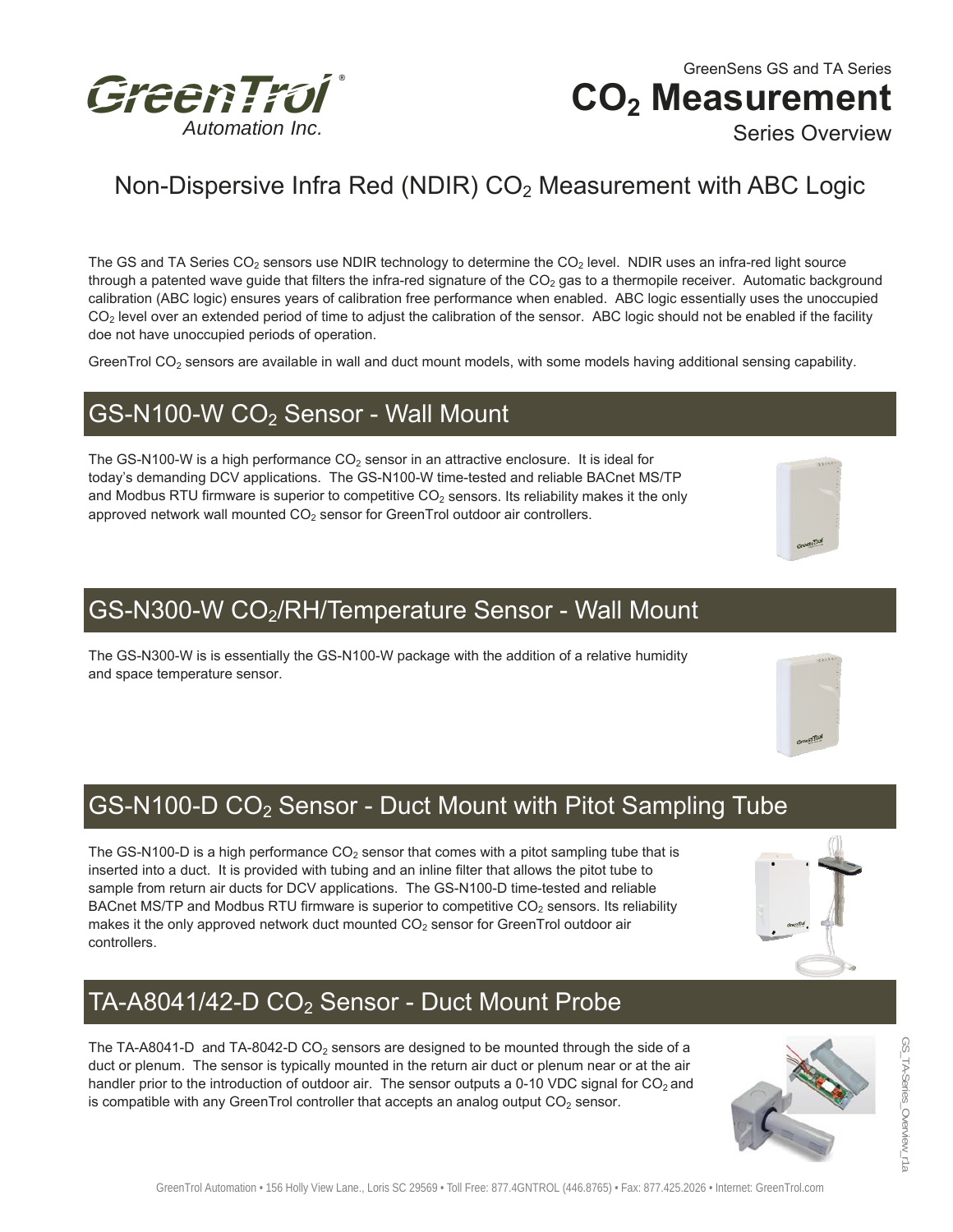

GreenSens GS and TA Series GS and TA Series CO<sub>2</sub> Measurement Series Overview

# Non-Dispersive Infra Red (NDIR) CO<sub>2</sub> Measurement with ABC Logic

The GS and TA Series CO<sub>2</sub> sensors use NDIR technology to determine the CO<sub>2</sub> level. NDIR uses an infra-red light source through a patented wave guide that filters the infra-red signature of the  $CO<sub>2</sub>$  gas to a thermopile receiver. Automatic background calibration (ABC logic) ensures years of calibration free performance when enabled. ABC logic essentially uses the unoccupied  $CO<sub>2</sub>$  level over an extended period of time to adjust the calibration of the sensor. ABC logic should not be enabled if the facility doe not have unoccupied periods of operation.

GreenTrol  $CO<sub>2</sub>$  sensors are available in wall and duct mount models, with some models having additional sensing capability.

#### GS-N100-W CO<sub>2</sub> Sensor - Wall Mount

The GS-N100-W is a high performance  $CO<sub>2</sub>$  sensor in an attractive enclosure. It is ideal for today's demanding DCV applications. The GS-N100-W time-tested and reliable BACnet MS/TP and Modbus RTU firmware is superior to competitive  $CO<sub>2</sub>$  sensors. Its reliability makes it the only approved network wall mounted  $CO<sub>2</sub>$  sensor for GreenTrol outdoor air controllers.



#### GS-N300-W CO<sub>2</sub>/RH/Temperature Sensor - Wall Mount

The GS-N300-W is is essentially the GS-N100-W package with the addition of a relative humidity and space temperature sensor.

### GS-N100-D CO2 Sensor - Duct Mount with Pitot Sampling Tube

The GS-N100-D is a high performance  $CO<sub>2</sub>$  sensor that comes with a pitot sampling tube that is inserted into a duct. It is provided with tubing and an inline filter that allows the pitot tube to sample from return air ducts for DCV applications. The GS-N100-D time-tested and reliable BACnet MS/TP and Modbus RTU firmware is superior to competitive CO<sub>2</sub> sensors. Its reliability makes it the only approved network duct mounted  $CO<sub>2</sub>$  sensor for GreenTrol outdoor air controllers.



The TA-A8041-D and TA-8042-D CO<sub>2</sub> sensors are designed to be mounted through the side of a duct or plenum. The sensor is typically mounted in the return air duct or plenum near or at the air handler prior to the introduction of outdoor air. The sensor outputs a 0-10 VDC signal for  $CO<sub>2</sub>$  and is compatible with any GreenTrol controller that accepts an analog output  $CO<sub>2</sub>$  sensor.